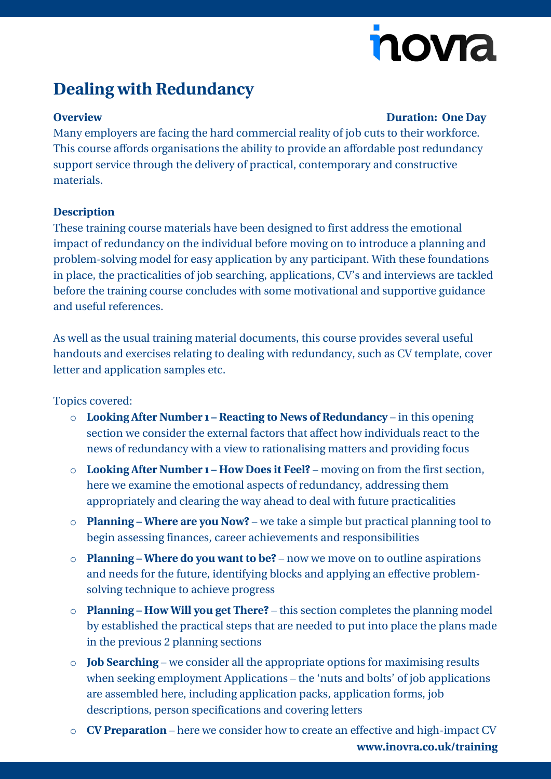# nova

## **Dealing with Redundancy**

#### **Overview Duration: One Day**

Many employers are facing the hard commercial reality of job cuts to their workforce. This course affords organisations the ability to provide an affordable post redundancy support service through the delivery of practical, contemporary and constructive materials.

### **Description**

These training course materials have been designed to first address the emotional impact of redundancy on the individual before moving on to introduce a planning and problem-solving model for easy application by any participant. With these foundations in place, the practicalities of job searching, applications, CV's and interviews are tackled before the training course concludes with some motivational and supportive guidance and useful references.

As well as the usual training material documents, this course provides several useful handouts and exercises relating to dealing with redundancy, such as CV template, cover letter and application samples etc.

Topics covered:

- o **Looking After Number 1 – Reacting to News of Redundancy** in this opening section we consider the external factors that affect how individuals react to the news of redundancy with a view to rationalising matters and providing focus
- o **Looking After Number 1 – How Does it Feel?** moving on from the first section, here we examine the emotional aspects of redundancy, addressing them appropriately and clearing the way ahead to deal with future practicalities
- o **Planning – Where are you Now?** we take a simple but practical planning tool to begin assessing finances, career achievements and responsibilities
- o **Planning – Where do you want to be?** now we move on to outline aspirations and needs for the future, identifying blocks and applying an effective problemsolving technique to achieve progress
- o **Planning – How Will you get There?** this section completes the planning model by established the practical steps that are needed to put into place the plans made in the previous 2 planning sections
- o **Job Searching** we consider all the appropriate options for maximising results when seeking employment Applications – the 'nuts and bolts' of job applications are assembled here, including application packs, application forms, job descriptions, person specifications and covering letters
- **[www.inovra.co.uk/training](http://www.inovra.co.uk/training)** o **CV Preparation** – here we consider how to create an effective and high-impact CV